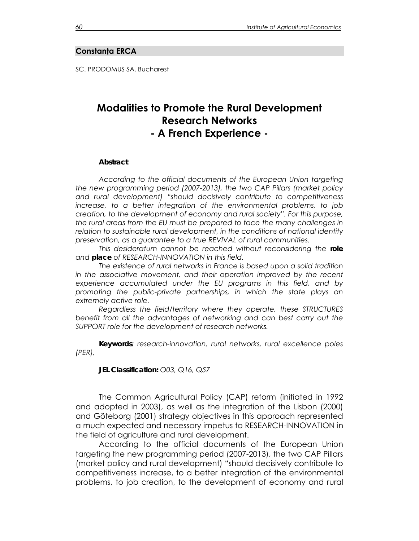#### **Constanţa ERCA**

SC. PRODOMUS SA, Bucharest

# **Modalities to Promote the Rural Development Research Networks - A French Experience -**

#### *Abstract*

 *According to the official documents of the European Union targeting the new programming period (2007-2013), the two CAP Pillars (market policy and rural development) "should decisively contribute to competitiveness increase, to a better integration of the environmental problems, to job creation, to the development of economy and rural society". For this purpose, the rural areas from the EU must be prepared to face the many challenges in relation to sustainable rural development, in the conditions of national identity preservation, as a guarantee to a true REVIVAL of rural communities.* 

*This desideratum cannot be reached without reconsidering the role and place of RESEARCH-INNOVATION in this field.* 

*The existence of rural networks in France is based upon a solid tradition in the associative movement, and their operation improved by the recent experience accumulated under the EU programs in this field, and by promoting the public-private partnerships, in which the state plays an extremely active role.* 

*Regardless the field/territory where they operate, these STRUCTURES*  benefit from all the advantages of networking and can best carry out the *SUPPORT role for the development of research networks.* 

*Keywords: research-innovation, rural networks, rural excellence poles (PER),* 

*JEL Classification: O03, Q16, Q57* 

The Common Agricultural Policy (CAP) reform (initiated in 1992 and adopted in 2003), as well as the integration of the Lisbon (2000) and Göteborg (2001) strategy objectives in this approach represented a much expected and necessary impetus to RESEARCH-INNOVATION in the field of agriculture and rural development.

According to the official documents of the European Union targeting the new programming period (2007-2013), the two CAP Pillars (market policy and rural development) "should decisively contribute to competitiveness increase, to a better integration of the environmental problems, to job creation, to the development of economy and rural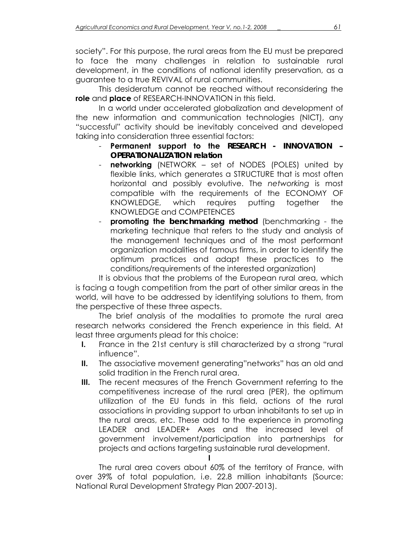society". For this purpose, the rural areas from the EU must be prepared to face the many challenges in relation to sustainable rural development, in the conditions of national identity preservation, as a guarantee to a true REVIVAL of rural communities.

This desideratum cannot be reached without reconsidering the **role** and **place** of RESEARCH-INNOVATION in this field.

In a world under accelerated globalization and development of the new information and communication technologies (NICT), any "successful" activity should be inevitably conceived and developed taking into consideration three essential factors:

- **Permanent support to the** *RESEARCH INNOVATION OPERATIONALIZATION relation*
- **networking** (NETWORK set of NODES (POLES) united by flexible links, which generates a STRUCTURE that is most often horizontal and possibly evolutive. The *networking* is most compatible with the requirements of the ECONOMY OF KNOWLEDGE, which requires putting together the KNOWLEDGE and COMPETENCES
- **promoting the** *benchmarking method* (benchmarking the marketing technique that refers to the study and analysis of the management techniques and of the most performant organization modalities of famous firms, in order to identify the optimum practices and adapt these practices to the conditions/requirements of the interested organization)

It is obvious that the problems of the European rural area, which is facing a tough competition from the part of other similar areas in the world, will have to be addressed by identifying solutions to them, from the perspective of these three aspects.

The brief analysis of the modalities to promote the rural area research networks considered the French experience in this field. At least three arguments plead for this choice:

- **I.** France in the 21st century is still characterized by a strong "rural influence".
- **II.** The associative movement generating"networks" has an old and solid tradition in the French rural area.
- **III.** The recent measures of the French Government referring to the competitiveness increase of the rural area (PER), the optimum utilization of the EU funds in this field, actions of the rural associations in providing support to urban inhabitants to set up in the rural areas, etc. These add to the experience in promoting LEADER and LEADER+ Axes and the increased level of government involvement/participation into partnerships for projects and actions targeting sustainable rural development.

The rural area covers about 60% of the territory of France, with over 39% of total population, i.e. 22.8 million inhabitants (Source: National Rural Development Strategy Plan 2007-2013).

**I**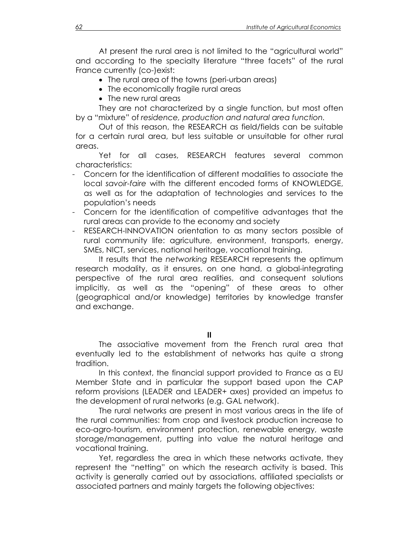At present the rural area is not limited to the "agricultural world" and according to the specialty literature "three facets" of the rural France currently (co-)exist:

- The rural area of the towns (peri-urban areas)
- The economically fragile rural areas
- The new rural areas

They are not characterized by a single function, but most often by a "mixture" of *residence, production and natural area function.* 

Out of this reason, the RESEARCH as field/fields can be suitable for a certain rural area, but less suitable or unsuitable for other rural areas.

Yet for all cases, RESEARCH features several common characteristics:

- Concern for the identification of different modalities to associate the local *savoir-faire* with the different encoded forms of KNOWLEDGE, as well as for the adaptation of technologies and services to the population's needs
- Concern for the identification of competitive advantages that the rural areas can provide to the economy and society
- RESEARCH-INNOVATION orientation to as many sectors possible of rural community life: agriculture, environment, transports, energy, SMEs, NICT, services, national heritage, vocational training.

It results that the *networking* RESEARCH represents the optimum research modality, as it ensures, on one hand, a global-integrating perspective of the rural area realities, and consequent solutions implicitly, as well as the "opening" of these areas to other (geographical and/or knowledge) territories by knowledge transfer and exchange.

**II** 

The associative movement from the French rural area that eventually led to the establishment of networks has quite a strong tradition.

In this context, the financial support provided to France as a EU Member State and in particular the support based upon the CAP reform provisions (LEADER and LEADER+ axes) provided an impetus to the development of rural networks (e.g. GAL network).

The rural networks are present in most various areas in the life of the rural communities: from crop and livestock production increase to eco-agro-tourism, environment protection, renewable energy, waste storage/management, putting into value the natural heritage and vocational training.

Yet, regardless the area in which these networks activate, they represent the "netting" on which the research activity is based. This activity is generally carried out by associations, affiliated specialists or associated partners and mainly targets the following objectives: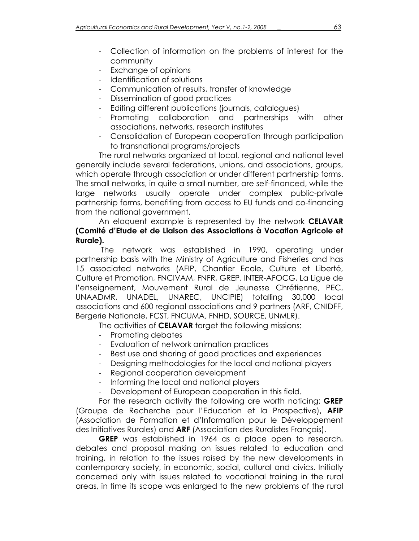- Collection of information on the problems of interest for the community
- Exchange of opinions
- Identification of solutions
- Communication of results, transfer of knowledge
- Dissemination of good practices
- Editing different publications (journals, catalogues)
- Promoting collaboration and partnerships with other associations, networks, research institutes
- Consolidation of European cooperation through participation to transnational programs/projects

The rural networks organized at local, regional and national level generally include several federations, unions, and associations, groups, which operate through association or under different partnership forms. The small networks, in quite a small number, are self-financed, while the large networks usually operate under complex public-private partnership forms, benefiting from access to EU funds and co-financing from the national government.

### An eloquent example is represented by the network **CELAVAR (Comité d'Etude et de Liaison des Associations à Vocation Agricole et Rurale).**

The network was established in 1990, operating under partnership basis with the Ministry of Agriculture and Fisheries and has 15 associated networks (AFIP, Chantier Ecole, Culture et Liberté, Culture et Promotion, FNCIVAM, FNFR, GREP, INTER-AFOCG, La Ligue de l'enseignement, Mouvement Rural de Jeunesse Chrétienne, PEC, UNAADMR, UNADEL, UNAREC, UNCIPIE) totalling 30,000 local associations and 600 regional associations and 9 partners (ARF, CNIDFF, Bergerie Nationale, FCST, FNCUMA, FNHD, SOURCE, UNMLR).

The activities of **CELAVAR** target the following missions:

- Promoting debates
- Evaluation of network animation practices
- Best use and sharing of good practices and experiences
- Designing methodologies for the local and national players
- Regional cooperation development
- Informing the local and national players
- Development of European cooperation in this field.

For the research activity the following are worth noticing: **GREP**  (Groupe de Recherche pour l'Education et la Prospective)**, AFIP**  (Association de Formation et d'Information pour le Développement des Initiatives Rurales) and **ARF** (Association des Ruralistes Franςais).

**GREP** was established in 1964 as a place open to research, debates and proposal making on issues related to education and training, in relation to the issues raised by the new developments in contemporary society, in economic, social, cultural and civics. Initially concerned only with issues related to vocational training in the rural areas, in time its scope was enlarged to the new problems of the rural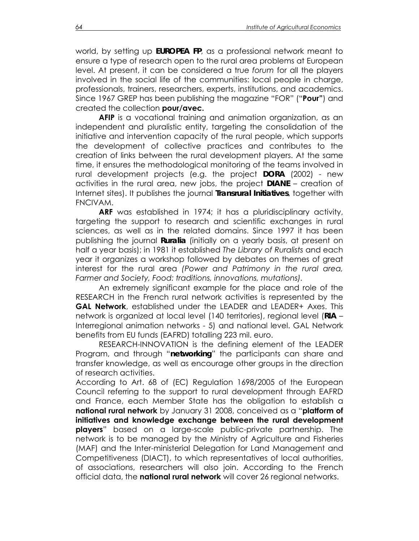world, by setting up *EUROPEA FP*, as a professional network meant to ensure a type of research open to the rural area problems at European level. At present, it can be considered a true *forum* for all the players involved in the social life of the communities: local people in charae, professionals, trainers, researchers, experts, institutions, and academics. Since 1967 GREP has been publishing the magazine "FOR" ("**Pour"**) and created the collection **pour/avec.** 

**AFIP** is a vocational training and animation organization, as an independent and pluralistic entity, targeting the consolidation of the initiative and intervention capacity of the rural people, which supports the development of collective practices and contributes to the creation of links between the rural development players. At the same time, it ensures the methodological monitoring of the teams involved in rural development projects (e.g. the project *DORA* (2002) - new activities in the rural area, new jobs, the project *DIANE* – creation of Internet sites). It publishes the journal *Transrural Initiatives*, together with FNCIVAM.

**ARF** was established in 1974; it has a pluridisciplinary activity, targeting the support to research and scientific exchanges in rural sciences, as well as in the related domains. Since 1997 it has been publishing the journal *Ruralia* (initially on a yearly basis, at present on half a year basis); in 1981 it established *The Library of Ruralists* and each year it organizes a workshop followed by debates on themes of great interest for the rural area *(Power and Patrimony in the rural area, Farmer and Society, Food: traditions, innovations, mutations).* 

An extremely significant example for the place and role of the RESEARCH in the French rural network activities is represented by the **GAL Network**, established under the LEADER and LEADER+ Axes. This network is organized at local level (140 territories), regional level (*RIA* – Interregional animation networks - 5) and national level. GAL Network benefits from EU funds (EAFRD) totalling 223 mil. euro.

RESEARCH-INNOVATION is the defining element of the LEADER Program, and through "*networking*" the participants can share and transfer knowledge, as well as encourage other groups in the direction of research activities.

According to Art. 68 of (EC) Regulation 1698/2005 of the European Council referring to the support to rural development through EAFRD and France, each Member State has the obligation to establish a **national rural network** by January 31 2008, conceived as a "**platform of initiatives and knowledge exchange between the rural development players**" based on a large-scale public-private partnership. The network is to be managed by the Ministry of Agriculture and Fisheries (MAF) and the Inter-ministerial Delegation for Land Management and Competitiveness (DIACT), to which representatives of local authorities, of associations, researchers will also join. According to the French official data, the **national rural network** will cover 26 regional networks.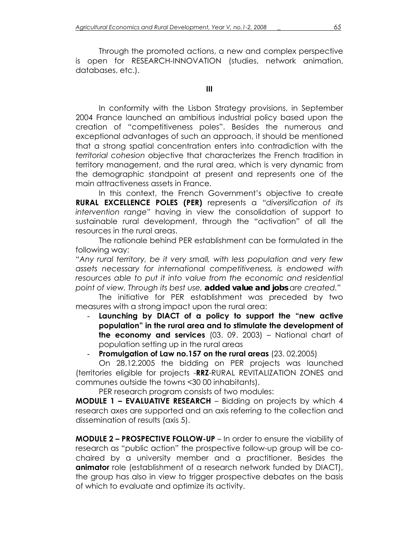Through the promoted actions, a new and complex perspective is open for RESEARCH-INNOVATION (studies, network animation, databases, etc.).

**III** 

In conformity with the Lisbon Strategy provisions, in September 2004 France launched an ambitious industrial policy based upon the creation of "competitiveness poles". Besides the numerous and exceptional advantages of such an approach, it should be mentioned that a strong spatial concentration enters into contradiction with the *territorial cohesion* objective that characterizes the French tradition in territory management, and the rural area, which is very dynamic from the demographic standpoint at present and represents one of the main attractiveness assets in France.

In this context, the French Government's objective to create **RURAL EXCELLENCE POLES (PER)** represents a "*diversification of its intervention range"* having in view the consolidation of support to sustainable rural development, through the "activation" of all the resources in the rural areas.

The rationale behind PER establishment can be formulated in the following way:

*"Any rural territory, be it very small, with less population and very few assets necessary for international competitiveness, is endowed with*  resources able to put it into value from the economic and residential *point of view. Through its best use, added value and jobs are created."* 

The initiative for PER establishment was preceded by two measures with a strong impact upon the rural area:

- **Launching by DIACT of a policy to support the "new active population" in the rural area and to stimulate the development of the economy and services** (03. 09. 2003) – National chart of population setting up in the rural areas

## **Promulgation of Law no.157 on the rural areas**  $(23. 02.2005)$

On 28.12.2005 the bidding on PER projects was launched (territories eligible for projects -**RRZ**-RURAL REVITALIZATION ZONES and communes outside the towns <30 00 inhabitants).

PER research program consists of two modules:

**MODULE 1 – EVALUATIVE RESEARCH** – Bidding on projects by which 4 research axes are supported and an axis referring to the collection and dissemination of results (axis 5).

**MODULE 2 – PROSPECTIVE FOLLOW-UP** – In order to ensure the viability of research as "public action" the prospective follow-up group will be cochaired by a university member and a practitioner. Besides the **animator** role (establishment of a research network funded by DIACT), the group has also in view to trigger prospective debates on the basis of which to evaluate and optimize its activity.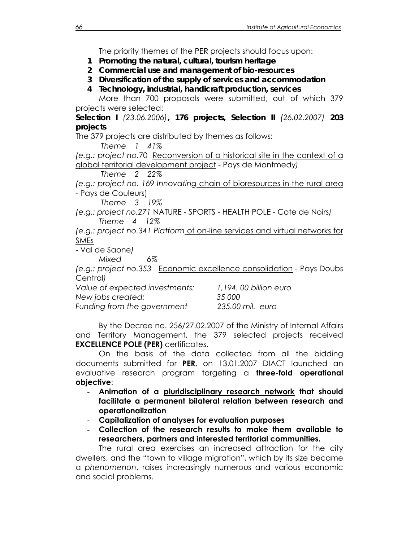The priority themes of the PER projects should focus upon:

- *1 Promoting the natural, cultural, tourism heritage*
- *2 Commercial use and management of bio-resources*
- *3 Diversification of the supply of services and accommodation*
- *4 Technology, industrial, handicraft production, services*

More than 700 proposals were submitted, out of which 379 projects were selected:

*Selection I (23.06.2006), 176 projects, Selection II (26.02.2007) 203 projects* 

The 379 projects are distributed by themes as follows:

 *Theme 1 41%* 

*(e.g.: project no.*70 Reconversion of a historical site in the context of a global territorial development project - Pays de Montmedy*)* 

 *Theme 2 22%* 

*(e.g.: project no. 169 Innovating* chain of bioresources in the rural area *-* Pays de Couleurs)

 *Theme 3 19%* 

*(e.g.: project no.271* NATURE - SPORTS - HEALTH POLE - Cote de Noirs*) Theme 4 12%* 

*(e.g.: project no.341 Platform* of on-line services and virtual networks for SMEs

- Val de Saone*)* 

 *Mixed 6%* 

*(e.g.: project no.353* Economic excellence consolidation *-* Pays Doubs Central*)* 

| Value of expected investments: | 1,194, 00 billion euro |
|--------------------------------|------------------------|
| New jobs created:              | 35 000                 |
| Funding from the government    | 235.00 mil. euro       |

By the Decree no. 256/27.02.2007 of the Ministry of Internal Affairs and Territory Management, the 379 selected projects received **EXCELLENCE POLE (PER)** certificates.

On the basis of the data collected from all the bidding documents submitted for **PER**, on 13.01.2007 DIACT launched an evaluative research program targeting a **three-fold operational objective**:

- **Animation of a pluridisciplinary research network that should facilitate a permanent bilateral relation between research and operationalization**
- **Capitalization of analyses for evaluation purposes**
- **Collection of the research results to make them available to researchers, partners and interested territorial communities.**

The rural area exercises an increased attraction for the city dwellers, and the "town to village migration", which by its size became a *phenomenon*, raises increasingly numerous and various economic and social problems.